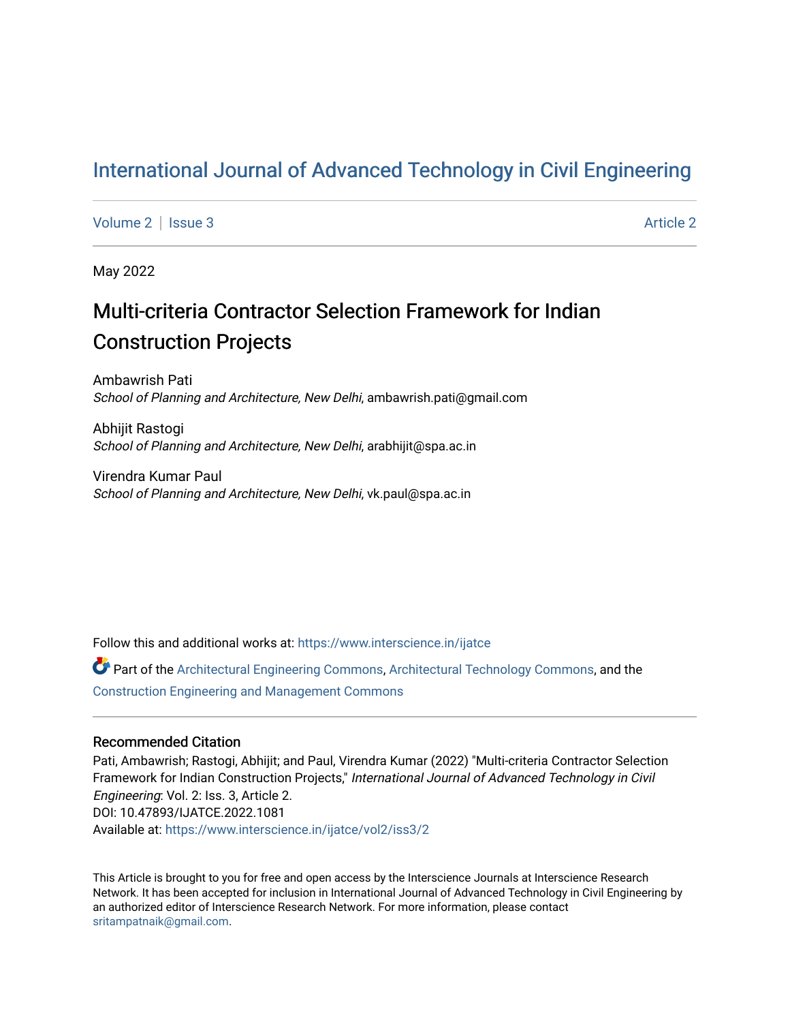# [International Journal of Advanced Technology in Civil Engineering](https://www.interscience.in/ijatce)

[Volume 2](https://www.interscience.in/ijatce/vol2) | [Issue 3](https://www.interscience.in/ijatce/vol2/iss3) [Article 2](https://www.interscience.in/ijatce/vol2/iss3/2) Article 2

May 2022

# Multi-criteria Contractor Selection Framework for Indian Construction Projects

Ambawrish Pati School of Planning and Architecture, New Delhi, ambawrish.pati@gmail.com

Abhijit Rastogi School of Planning and Architecture, New Delhi, arabhijit@spa.ac.in

Virendra Kumar Paul School of Planning and Architecture, New Delhi, vk.paul@spa.ac.in

Follow this and additional works at: [https://www.interscience.in/ijatce](https://www.interscience.in/ijatce?utm_source=www.interscience.in%2Fijatce%2Fvol2%2Fiss3%2F2&utm_medium=PDF&utm_campaign=PDFCoverPages) 

Part of the [Architectural Engineering Commons](https://network.bepress.com/hgg/discipline/774?utm_source=www.interscience.in%2Fijatce%2Fvol2%2Fiss3%2F2&utm_medium=PDF&utm_campaign=PDFCoverPages), [Architectural Technology Commons,](https://network.bepress.com/hgg/discipline/1194?utm_source=www.interscience.in%2Fijatce%2Fvol2%2Fiss3%2F2&utm_medium=PDF&utm_campaign=PDFCoverPages) and the [Construction Engineering and Management Commons](https://network.bepress.com/hgg/discipline/253?utm_source=www.interscience.in%2Fijatce%2Fvol2%2Fiss3%2F2&utm_medium=PDF&utm_campaign=PDFCoverPages) 

### Recommended Citation

Pati, Ambawrish; Rastogi, Abhijit; and Paul, Virendra Kumar (2022) "Multi-criteria Contractor Selection Framework for Indian Construction Projects," International Journal of Advanced Technology in Civil Engineering: Vol. 2: Iss. 3, Article 2. DOI: 10.47893/IJATCE.2022.1081 Available at: [https://www.interscience.in/ijatce/vol2/iss3/2](https://www.interscience.in/ijatce/vol2/iss3/2?utm_source=www.interscience.in%2Fijatce%2Fvol2%2Fiss3%2F2&utm_medium=PDF&utm_campaign=PDFCoverPages) 

This Article is brought to you for free and open access by the Interscience Journals at Interscience Research Network. It has been accepted for inclusion in International Journal of Advanced Technology in Civil Engineering by an authorized editor of Interscience Research Network. For more information, please contact [sritampatnaik@gmail.com](mailto:sritampatnaik@gmail.com).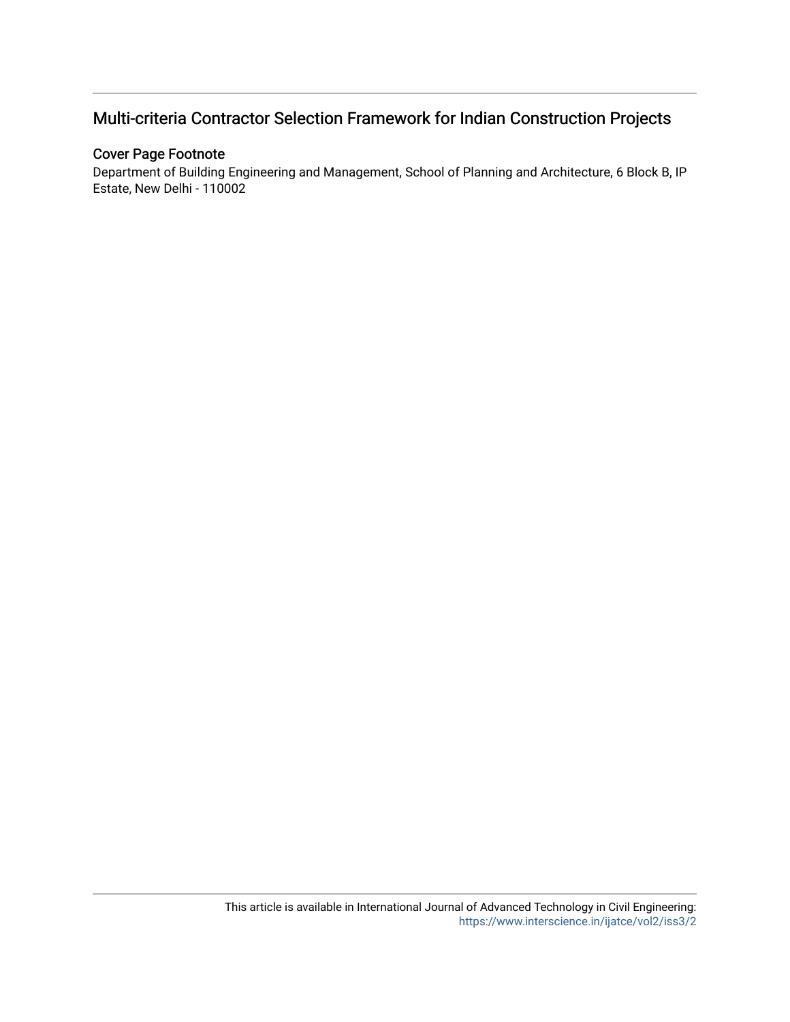# Multi-criteria Contractor Selection Framework for Indian Construction Projects

## Cover Page Footnote

Department of Building Engineering and Management, School of Planning and Architecture, 6 Block B, IP Estate, New Delhi - 110002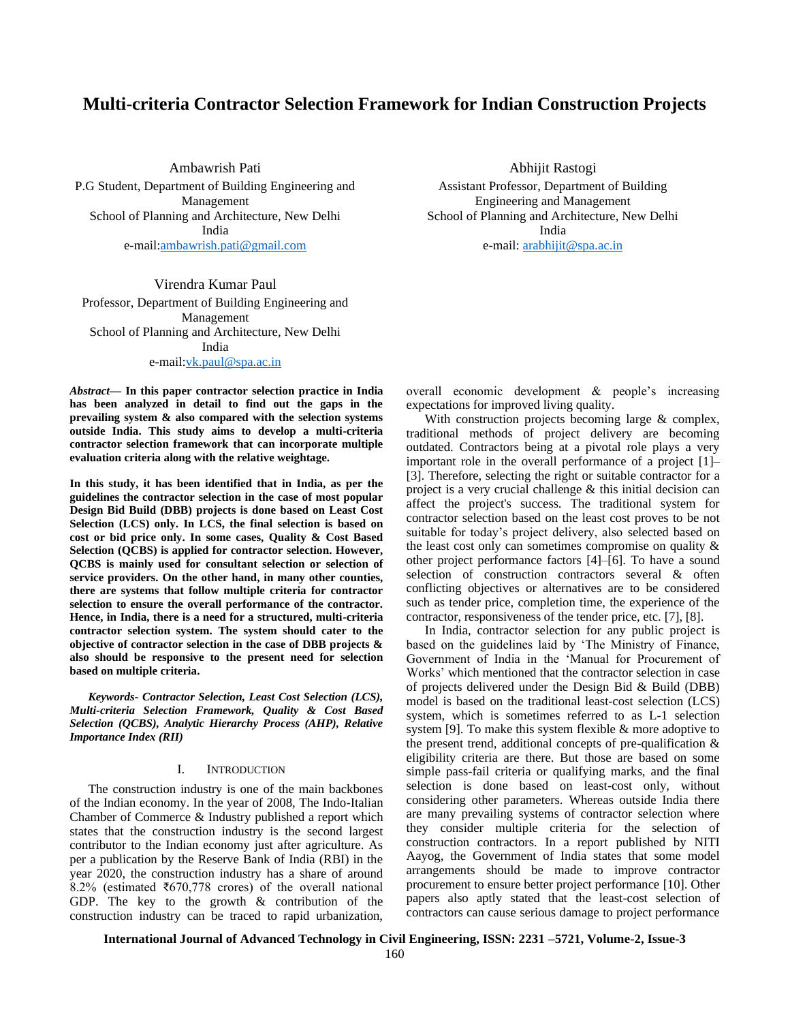### **Multi-criteria Contractor Selection Framework for Indian Construction Projects**

Ambawrish Pati P.G Student, Department of Building Engineering and Management School of Planning and Architecture, New Delhi India e-mail[:ambawrish.pati@gmail.com](mailto:ambawrish.pati@gmail.com)

Virendra Kumar Paul Professor, Department of Building Engineering and Management School of Planning and Architecture, New Delhi India e-mail[:vk.paul@spa.ac.in](mailto:vk.paul@spa.ac.in)

*Abstract***— In this paper contractor selection practice in India has been analyzed in detail to find out the gaps in the prevailing system & also compared with the selection systems outside India. This study aims to develop a multi-criteria contractor selection framework that can incorporate multiple evaluation criteria along with the relative weightage.**

**In this study, it has been identified that in India, as per the guidelines the contractor selection in the case of most popular Design Bid Build (DBB) projects is done based on Least Cost Selection (LCS) only. In LCS, the final selection is based on cost or bid price only. In some cases, Quality & Cost Based Selection (QCBS) is applied for contractor selection. However, QCBS is mainly used for consultant selection or selection of service providers. On the other hand, in many other counties, there are systems that follow multiple criteria for contractor selection to ensure the overall performance of the contractor. Hence, in India, there is a need for a structured, multi-criteria contractor selection system. The system should cater to the objective of contractor selection in the case of DBB projects & also should be responsive to the present need for selection based on multiple criteria.**

*Keywords- Contractor Selection, Least Cost Selection (LCS), Multi-criteria Selection Framework, Quality & Cost Based Selection (QCBS), Analytic Hierarchy Process (AHP), Relative Importance Index (RII)*

#### I. INTRODUCTION

The construction industry is one of the main backbones of the Indian economy. In the year of 2008, The Indo-Italian Chamber of Commerce & Industry published a report which states that the construction industry is the second largest contributor to the Indian economy just after agriculture. As per a publication by the Reserve Bank of India (RBI) in the year 2020, the construction industry has a share of around 8.2% (estimated ₹670,778 crores) of the overall national GDP. The key to the growth & contribution of the construction industry can be traced to rapid urbanization,

Abhijit Rastogi Assistant Professor, Department of Building Engineering and Management School of Planning and Architecture, New Delhi India e-mail: [arabhijit@spa.ac.in](mailto:arabhijit@spa.ac.in)

overall economic development & people's increasing expectations for improved living quality.

With construction projects becoming large & complex, traditional methods of project delivery are becoming outdated. Contractors being at a pivotal role plays a very important role in the overall performance of a project [1]– [3]. Therefore, selecting the right or suitable contractor for a project is a very crucial challenge & this initial decision can affect the project's success. The traditional system for contractor selection based on the least cost proves to be not suitable for today's project delivery, also selected based on the least cost only can sometimes compromise on quality & other project performance factors [4]–[6]. To have a sound selection of construction contractors several & often conflicting objectives or alternatives are to be considered such as tender price, completion time, the experience of the contractor, responsiveness of the tender price, etc. [7], [8].

In India, contractor selection for any public project is based on the guidelines laid by 'The Ministry of Finance, Government of India in the 'Manual for Procurement of Works' which mentioned that the contractor selection in case of projects delivered under the Design Bid & Build (DBB) model is based on the traditional least-cost selection (LCS) system, which is sometimes referred to as L-1 selection system [9]. To make this system flexible & more adoptive to the present trend, additional concepts of pre-qualification & eligibility criteria are there. But those are based on some simple pass-fail criteria or qualifying marks, and the final selection is done based on least-cost only, without considering other parameters. Whereas outside India there are many prevailing systems of contractor selection where they consider multiple criteria for the selection of construction contractors. In a report published by NITI Aayog, the Government of India states that some model arrangements should be made to improve contractor procurement to ensure better project performance [10]. Other papers also aptly stated that the least-cost selection of contractors can cause serious damage to project performance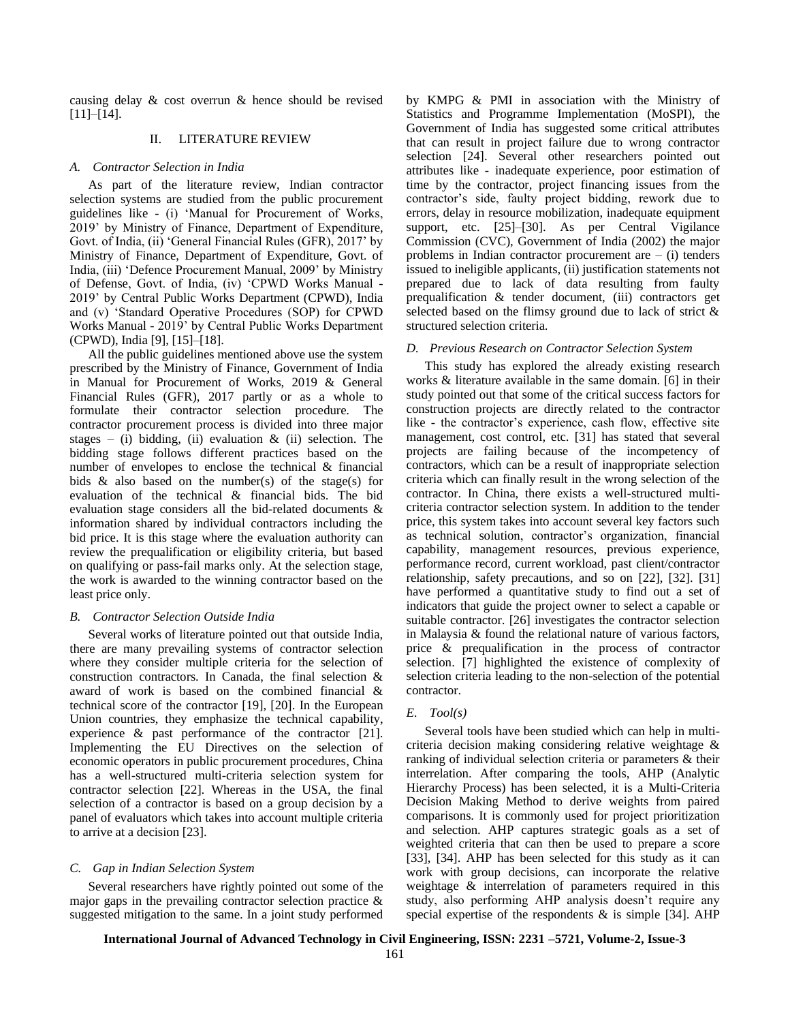causing delay & cost overrun & hence should be revised [11]–[14].

#### II. LITERATURE REVIEW

#### *A. Contractor Selection in India*

As part of the literature review, Indian contractor selection systems are studied from the public procurement guidelines like - (i) 'Manual for Procurement of Works, 2019' by Ministry of Finance, Department of Expenditure, Govt. of India, (ii) 'General Financial Rules (GFR), 2017' by Ministry of Finance, Department of Expenditure, Govt. of India, (iii) 'Defence Procurement Manual, 2009' by Ministry of Defense, Govt. of India, (iv) 'CPWD Works Manual - 2019' by Central Public Works Department (CPWD), India and (v) 'Standard Operative Procedures (SOP) for CPWD Works Manual - 2019' by Central Public Works Department (CPWD), India [9], [15]–[18].

All the public guidelines mentioned above use the system prescribed by the Ministry of Finance, Government of India in Manual for Procurement of Works, 2019 & General Financial Rules (GFR), 2017 partly or as a whole to formulate their contractor selection procedure. The contractor procurement process is divided into three major stages – (i) bidding, (ii) evaluation  $\&$  (ii) selection. The bidding stage follows different practices based on the number of envelopes to enclose the technical & financial bids  $\&$  also based on the number(s) of the stage(s) for evaluation of the technical & financial bids. The bid evaluation stage considers all the bid-related documents & information shared by individual contractors including the bid price. It is this stage where the evaluation authority can review the prequalification or eligibility criteria, but based on qualifying or pass-fail marks only. At the selection stage, the work is awarded to the winning contractor based on the least price only.

#### *B. Contractor Selection Outside India*

Several works of literature pointed out that outside India, there are many prevailing systems of contractor selection where they consider multiple criteria for the selection of construction contractors. In Canada, the final selection & award of work is based on the combined financial & technical score of the contractor [19], [20]. In the European Union countries, they emphasize the technical capability, experience & past performance of the contractor [21]. Implementing the EU Directives on the selection of economic operators in public procurement procedures, China has a well-structured multi-criteria selection system for contractor selection [22]. Whereas in the USA, the final selection of a contractor is based on a group decision by a panel of evaluators which takes into account multiple criteria to arrive at a decision [23].

#### *C. Gap in Indian Selection System*

Several researchers have rightly pointed out some of the major gaps in the prevailing contractor selection practice & suggested mitigation to the same. In a joint study performed by KMPG & PMI in association with the Ministry of Statistics and Programme Implementation (MoSPI), the Government of India has suggested some critical attributes that can result in project failure due to wrong contractor selection [24]. Several other researchers pointed out attributes like - inadequate experience, poor estimation of time by the contractor, project financing issues from the contractor's side, faulty project bidding, rework due to errors, delay in resource mobilization, inadequate equipment support, etc. [25]–[30]. As per Central Vigilance Commission (CVC), Government of India (2002) the major problems in Indian contractor procurement are  $-$  (i) tenders issued to ineligible applicants, (ii) justification statements not prepared due to lack of data resulting from faulty prequalification & tender document, (iii) contractors get selected based on the flimsy ground due to lack of strict & structured selection criteria.

#### *D. Previous Research on Contractor Selection System*

This study has explored the already existing research works & literature available in the same domain. [6] in their study pointed out that some of the critical success factors for construction projects are directly related to the contractor like - the contractor's experience, cash flow, effective site management, cost control, etc. [31] has stated that several projects are failing because of the incompetency of contractors, which can be a result of inappropriate selection criteria which can finally result in the wrong selection of the contractor. In China, there exists a well-structured multicriteria contractor selection system. In addition to the tender price, this system takes into account several key factors such as technical solution, contractor's organization, financial capability, management resources, previous experience, performance record, current workload, past client/contractor relationship, safety precautions, and so on [22], [32]. [31] have performed a quantitative study to find out a set of indicators that guide the project owner to select a capable or suitable contractor. [26] investigates the contractor selection in Malaysia & found the relational nature of various factors, price & prequalification in the process of contractor selection. [7] highlighted the existence of complexity of selection criteria leading to the non-selection of the potential contractor.

#### *E. Tool(s)*

Several tools have been studied which can help in multicriteria decision making considering relative weightage & ranking of individual selection criteria or parameters & their interrelation. After comparing the tools, AHP (Analytic Hierarchy Process) has been selected, it is a Multi-Criteria Decision Making Method to derive weights from paired comparisons. It is commonly used for project prioritization and selection. AHP captures strategic goals as a set of weighted criteria that can then be used to prepare a score [33], [34]. AHP has been selected for this study as it can work with group decisions, can incorporate the relative weightage & interrelation of parameters required in this study, also performing AHP analysis doesn't require any special expertise of the respondents  $\&$  is simple [34]. AHP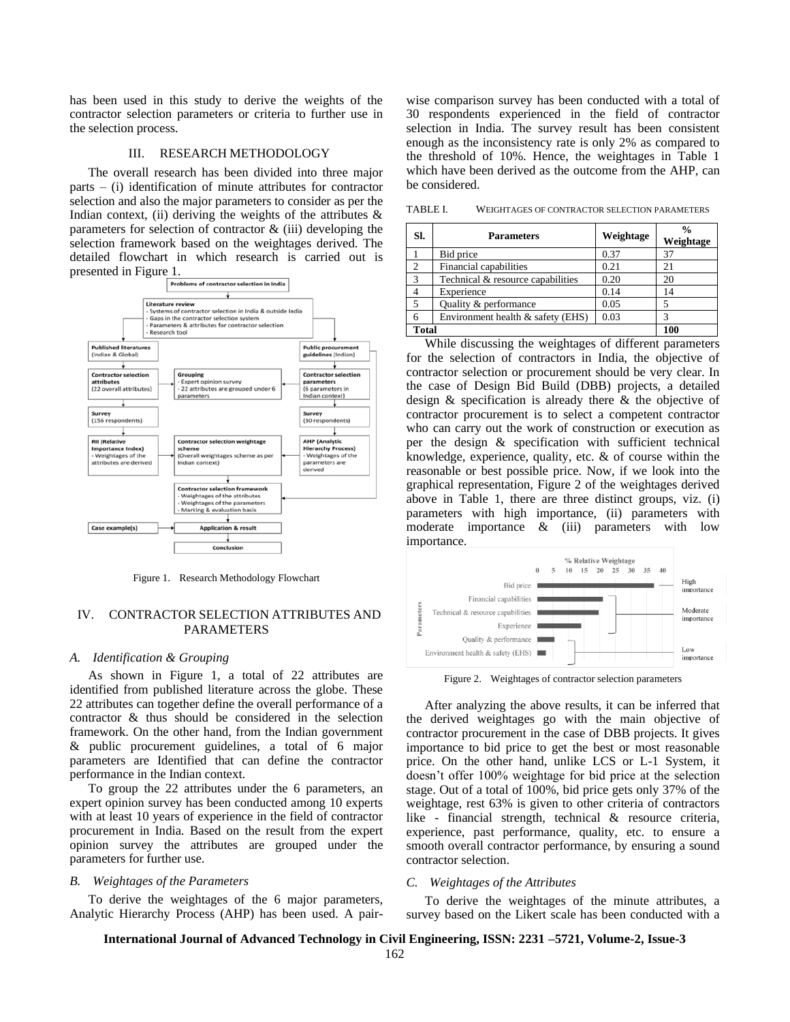has been used in this study to derive the weights of the contractor selection parameters or criteria to further use in the selection process.

#### III. RESEARCH METHODOLOGY

The overall research has been divided into three major parts – (i) identification of minute attributes for contractor selection and also the major parameters to consider as per the Indian context, (ii) deriving the weights of the attributes  $\&$ parameters for selection of contractor  $\&$  (iii) developing the selection framework based on the weightages derived. The detailed flowchart in which research is carried out is



Figure 1. Research Methodology Flowchart

#### IV. CONTRACTOR SELECTION ATTRIBUTES AND PARAMETERS

#### *A. Identification & Grouping*

As shown in Figure 1, a total of 22 attributes are identified from published literature across the globe. These 22 attributes can together define the overall performance of a contractor & thus should be considered in the selection framework. On the other hand, from the Indian government & public procurement guidelines, a total of 6 major parameters are Identified that can define the contractor performance in the Indian context.

To group the 22 attributes under the 6 parameters, an expert opinion survey has been conducted among 10 experts with at least 10 years of experience in the field of contractor procurement in India. Based on the result from the expert opinion survey the attributes are grouped under the parameters for further use.

#### *B. Weightages of the Parameters*

To derive the weightages of the 6 major parameters, Analytic Hierarchy Process (AHP) has been used. A pairwise comparison survey has been conducted with a total of 30 respondents experienced in the field of contractor selection in India. The survey result has been consistent enough as the inconsistency rate is only 2% as compared to the threshold of 10%. Hence, the weightages in Table 1 which have been derived as the outcome from the AHP, can be considered.

TABLE I. WEIGHTAGES OF CONTRACTOR SELECTION PARAMETERS

| SI.           | <b>Parameters</b>                 | Weightage | $\frac{6}{9}$<br>Weightage |  |  |
|---------------|-----------------------------------|-----------|----------------------------|--|--|
|               | Bid price                         | 0.37      | 37                         |  |  |
| 2             | Financial capabilities            | 0.21      | 21                         |  |  |
| $\mathcal{R}$ | Technical & resource capabilities | 0.20      | 20                         |  |  |
|               | Experience                        | 0.14      | 14                         |  |  |
| .5            | Quality & performance             | 0.05      |                            |  |  |
| 6             | Environment health & safety (EHS) | 0.03      |                            |  |  |
| <b>Total</b>  | 100                               |           |                            |  |  |

While discussing the weightages of different parameters for the selection of contractors in India, the objective of contractor selection or procurement should be very clear. In the case of Design Bid Build (DBB) projects, a detailed design & specification is already there & the objective of contractor procurement is to select a competent contractor who can carry out the work of construction or execution as per the design & specification with sufficient technical knowledge, experience, quality, etc. & of course within the reasonable or best possible price. Now, if we look into the graphical representation, Figure 2 of the weightages derived above in Table 1, there are three distinct groups, viz. (i) parameters with high importance, (ii) parameters with moderate importance & (iii) parameters with low importance.



Figure 2. Weightages of contractor selection parameters

After analyzing the above results, it can be inferred that the derived weightages go with the main objective of contractor procurement in the case of DBB projects. It gives importance to bid price to get the best or most reasonable price. On the other hand, unlike LCS or L-1 System, it doesn't offer 100% weightage for bid price at the selection stage. Out of a total of 100%, bid price gets only 37% of the weightage, rest 63% is given to other criteria of contractors like - financial strength, technical & resource criteria, experience, past performance, quality, etc. to ensure a smooth overall contractor performance, by ensuring a sound contractor selection.

#### *C. Weightages of the Attributes*

To derive the weightages of the minute attributes, a survey based on the Likert scale has been conducted with a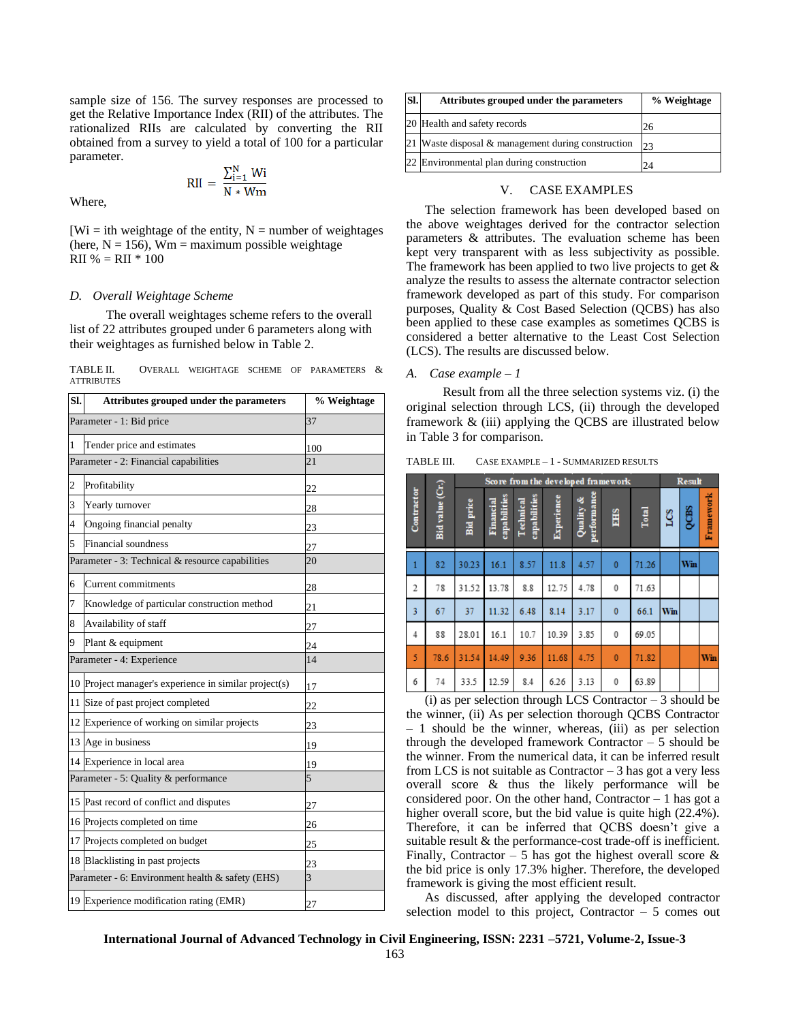sample size of 156. The survey responses are processed to get the Relative Importance Index (RII) of the attributes. The rationalized RIIs are calculated by converting the RII obtained from a survey to yield a total of 100 for a particular parameter.

$$
RII = \frac{\sum_{i=1}^{N} Wi}{N * Wm}
$$

Where,

 $[W_i]$  = ith weightage of the entity, N = number of weightages (here,  $N = 156$ ),  $Wm =$  maximum possible weightage  $RII \% = RII * 100$ 

#### *D. Overall Weightage Scheme*

The overall weightages scheme refers to the overall list of 22 attributes grouped under 6 parameters along with their weightages as furnished below in Table 2.

TABLE II. OVERALL WEIGHTAGE SCHEME OF PARAMETERS & **ATTRIBUTES** 

| SI. | Attributes grouped under the parameters               | % Weightage |  |  |  |
|-----|-------------------------------------------------------|-------------|--|--|--|
|     | Parameter - 1: Bid price                              | 37          |  |  |  |
| 1   | Tender price and estimates                            | 100         |  |  |  |
|     | Parameter - 2: Financial capabilities                 | 21          |  |  |  |
| 2   | Profitability                                         | 22          |  |  |  |
| 3   | Yearly turnover                                       | 28          |  |  |  |
| 4   | Ongoing financial penalty                             | 23          |  |  |  |
| 5   | Financial soundness                                   | 27          |  |  |  |
|     | Parameter - 3: Technical & resource capabilities      | 20          |  |  |  |
| 6   | <b>Current</b> commitments                            | 28          |  |  |  |
| 7   | Knowledge of particular construction method           | 21          |  |  |  |
| 8   | Availability of staff                                 | 27          |  |  |  |
| 9   | Plant & equipment                                     | 24          |  |  |  |
|     | Parameter - 4: Experience                             | 14          |  |  |  |
|     | 10 Project manager's experience in similar project(s) | 17          |  |  |  |
| 11  | Size of past project completed                        | 22          |  |  |  |
|     | 12 Experience of working on similar projects          | 23          |  |  |  |
| 13  | Age in business                                       | 19          |  |  |  |
|     | 14 Experience in local area                           | 19          |  |  |  |
|     | Parameter - 5: Quality & performance                  | 5           |  |  |  |
| 15  | Past record of conflict and disputes                  | 27          |  |  |  |
|     | 16 Projects completed on time                         | 26          |  |  |  |
| 17  | Projects completed on budget                          | 25          |  |  |  |
|     | 18 Blacklisting in past projects                      | 23          |  |  |  |
|     | Parameter - 6: Environment health & safety (EHS)      | 3           |  |  |  |
|     | 19 Experience modification rating (EMR)               | 27          |  |  |  |

| SI. | Attributes grouped under the parameters               | % Weightage |  |  |  |
|-----|-------------------------------------------------------|-------------|--|--|--|
|     | 20 Health and safety records                          | 26          |  |  |  |
|     | 21 Waste disposal $\&$ management during construction | 23          |  |  |  |
|     | 22 Environmental plan during construction             | 24          |  |  |  |

#### V. CASE EXAMPLES

The selection framework has been developed based on the above weightages derived for the contractor selection parameters & attributes. The evaluation scheme has been kept very transparent with as less subjectivity as possible. The framework has been applied to two live projects to get & analyze the results to assess the alternate contractor selection framework developed as part of this study. For comparison purposes, Quality & Cost Based Selection (QCBS) has also been applied to these case examples as sometimes QCBS is considered a better alternative to the Least Cost Selection (LCS). The results are discussed below.

#### *A. Case example – 1*

Result from all the three selection systems viz. (i) the original selection through LCS, (ii) through the developed framework & (iii) applying the QCBS are illustrated below in Table 3 for comparison.

TABLE III. CASE EXAMPLE – 1 - SUMMARIZED RESULTS

|                | Score from the developed framework |                  |                           |                           |            |                          | <b>Result</b> |       |     |      |           |
|----------------|------------------------------------|------------------|---------------------------|---------------------------|------------|--------------------------|---------------|-------|-----|------|-----------|
| Contractor     | Bid value (Cr.)                    | <b>Bid</b> price | capabilities<br>Financial | capabilities<br>Technical | Experience | performance<br>Quality & | <b>EHS</b>    | Total | LCS | QCBS | Framework |
| $\mathbf{1}$   | 82                                 | 30.23            | 16.1                      | 8.57                      | 11.8       | 4.57                     | $\mathbf{0}$  | 71.26 |     | Win  |           |
| 2              | 78                                 | 31.52            | 13.78                     | 8.8                       | 12.75      | 4.78                     | 0             | 71.63 |     |      |           |
| $\overline{3}$ | 67                                 | 37               | 11.32                     | 6.48                      | 8.14       | 3.17                     | $\bf{0}$      | 66.1  | Win |      |           |
| $\overline{4}$ | 88                                 | 28.01            | 16.1                      | 10.7                      | 10.39      | 3.85                     | 0             | 69.05 |     |      |           |
| 5              | 78.6                               | 31.54            | 14.49                     | 9.36                      | 11.68      | 4.75                     | $\bf{0}$      | 71.82 |     |      | Win       |
| 6              | 74                                 | 33.5             | 12.59                     | 8.4                       | 6.26       | 3.13                     | 0             | 63.89 |     |      |           |

(i) as per selection through LCS Contractor  $-3$  should be the winner, (ii) As per selection thorough QCBS Contractor  $-1$  should be the winner, whereas, (iii) as per selection through the developed framework Contractor – 5 should be the winner. From the numerical data, it can be inferred result from LCS is not suitable as Contractor  $-3$  has got a very less overall score & thus the likely performance will be considered poor. On the other hand, Contractor  $-1$  has got a higher overall score, but the bid value is quite high (22.4%). Therefore, it can be inferred that QCBS doesn't give a suitable result & the performance-cost trade-off is inefficient. Finally, Contractor – 5 has got the highest overall score  $\&$ the bid price is only 17.3% higher. Therefore, the developed framework is giving the most efficient result.

As discussed, after applying the developed contractor selection model to this project, Contractor  $-5$  comes out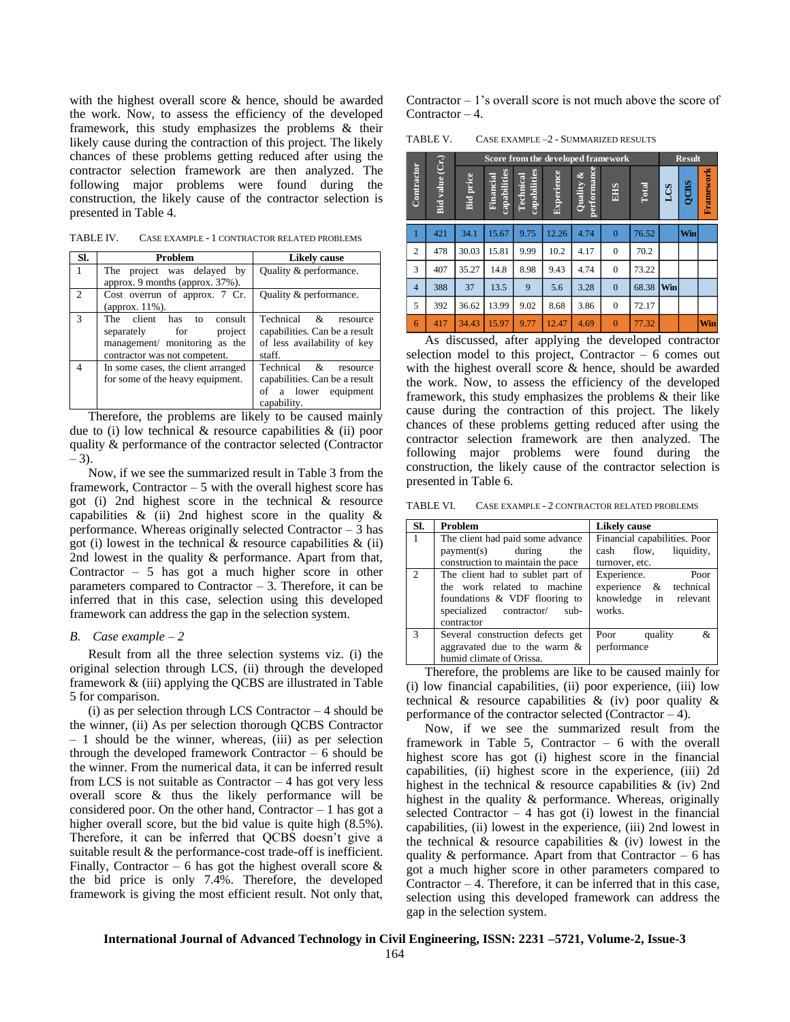with the highest overall score & hence, should be awarded the work. Now, to assess the efficiency of the developed framework, this study emphasizes the problems & their likely cause during the contraction of this project. The likely chances of these problems getting reduced after using the contractor selection framework are then analyzed. The following major problems were found during the construction, the likely cause of the contractor selection is presented in Table 4.

TABLE IV. CASE EXAMPLE - 1 CONTRACTOR RELATED PROBLEMS

| SI.            | Problem                            | Likely cause                  |  |  |  |  |
|----------------|------------------------------------|-------------------------------|--|--|--|--|
| 1              | The project was delayed by         | Quality & performance.        |  |  |  |  |
|                | approx. 9 months (approx. 37%).    |                               |  |  |  |  |
| $\mathfrak{2}$ | Cost overrun of approx. 7 Cr.      | Quality & performance.        |  |  |  |  |
|                | (approx. 11%).                     |                               |  |  |  |  |
| 3              | The client has<br>consult<br>to    | Technical &<br>resource       |  |  |  |  |
|                | separately for<br>project          | capabilities. Can be a result |  |  |  |  |
|                | management/ monitoring as the      | of less availability of key   |  |  |  |  |
|                | contractor was not competent.      | staff.                        |  |  |  |  |
| $\overline{4}$ | In some cases, the client arranged | Technical &<br>resource       |  |  |  |  |
|                | for some of the heavy equipment.   | capabilities. Can be a result |  |  |  |  |
|                |                                    | of a lower equipment          |  |  |  |  |
|                |                                    | capability.                   |  |  |  |  |

Therefore, the problems are likely to be caused mainly due to (i) low technical & resource capabilities & (ii) poor quality & performance of the contractor selected (Contractor  $-3$ ).

Now, if we see the summarized result in Table 3 from the framework, Contractor  $-5$  with the overall highest score has got (i) 2nd highest score in the technical & resource capabilities & (ii) 2nd highest score in the quality & performance. Whereas originally selected Contractor – 3 has got (i) lowest in the technical  $\&$  resource capabilities  $\&$  (ii) 2nd lowest in the quality & performance. Apart from that, Contractor – 5 has got a much higher score in other parameters compared to Contractor  $-3$ . Therefore, it can be inferred that in this case, selection using this developed framework can address the gap in the selection system.

#### *B. Case example – 2*

Result from all the three selection systems viz. (i) the original selection through LCS, (ii) through the developed framework & (iii) applying the QCBS are illustrated in Table 5 for comparison.

 $(i)$  as per selection through LCS Contractor  $-4$  should be the winner, (ii) As per selection thorough QCBS Contractor  $-1$  should be the winner, whereas, (iii) as per selection through the developed framework Contractor – 6 should be the winner. From the numerical data, it can be inferred result from LCS is not suitable as Contractor  $-4$  has got very less overall score & thus the likely performance will be considered poor. On the other hand, Contractor  $-1$  has got a higher overall score, but the bid value is quite high (8.5%). Therefore, it can be inferred that QCBS doesn't give a suitable result  $&$  the performance-cost trade-off is inefficient. Finally, Contractor – 6 has got the highest overall score  $\&$ the bid price is only 7.4%. Therefore, the developed framework is giving the most efficient result. Not only that,

Contractor  $-1$ 's overall score is not much above the score of Contractor  $-4$ .

TABLE V. CASE EXAMPLE –2 - SUMMARIZED RESULTS

|                |                           |                  |                           |                           | Score from the developed framework<br><b>Result</b> |                             |                  |       |            |      |           |
|----------------|---------------------------|------------------|---------------------------|---------------------------|-----------------------------------------------------|-----------------------------|------------------|-------|------------|------|-----------|
| Contractor     | value (Cr.)<br><b>Bid</b> | <b>Bid</b> price | capabilities<br>Financial | capabilities<br>Technical | Experience                                          | performance<br>శ<br>Quality | <b>SH3</b>       | Total | <b>SOT</b> | QCBS | Framework |
| 1              | 421                       | 34.1             | 15.67                     | 9.75                      | 12.26                                               | 4.74                        | $\overline{0}$   | 76.52 |            | Win  |           |
| 2              | 478                       | 30.03            | 15.81                     | 9.99                      | 10.2                                                | 4.17                        | $\boldsymbol{0}$ | 70.2  |            |      |           |
| 3              | 407                       | 35.27            | 14.8                      | 8.98                      | 9.43                                                | 4.74                        | $\boldsymbol{0}$ | 73.22 |            |      |           |
| $\overline{4}$ | 388                       | 37               | 13.5                      | 9                         | 5.6                                                 | 3.28                        | $\mathbf{0}$     | 68.38 | Win        |      |           |
| 5              | 392                       | 36.62            | 13.99                     | 9.02                      | 8.68                                                | 3.86                        | $\boldsymbol{0}$ | 72.17 |            |      |           |
| 6              | 417                       | 34.43            | 15.97                     | 9.77                      | 12.47                                               | 4.69                        | $\overline{0}$   | 77.32 |            |      | Win       |

As discussed, after applying the developed contractor selection model to this project, Contractor  $-6$  comes out with the highest overall score & hence, should be awarded the work. Now, to assess the efficiency of the developed framework, this study emphasizes the problems & their like cause during the contraction of this project. The likely chances of these problems getting reduced after using the contractor selection framework are then analyzed. The following major problems were found during the construction, the likely cause of the contractor selection is presented in Table 6.

TABLE VI. CASE EXAMPLE - 2 CONTRACTOR RELATED PROBLEMS

| SI.            | Problem                           | <b>Likely cause</b>          |  |  |  |
|----------------|-----------------------------------|------------------------------|--|--|--|
| $-1$           | The client had paid some advance  | Financial capabilities. Poor |  |  |  |
|                | payment(s) during<br>the          | liquidity,<br>cash flow,     |  |  |  |
|                | construction to maintain the pace | turnover, etc.               |  |  |  |
| $\overline{2}$ | The client had to sublet part of  | Experience.<br>Poor          |  |  |  |
|                | the work related to machine       | experience & technical       |  |  |  |
|                | foundations & VDF flooring to     | knowledge in relevant        |  |  |  |
|                | specialized contractor/<br>$sub-$ | works.                       |  |  |  |
|                | contractor                        |                              |  |  |  |
| $\mathcal{R}$  | Several construction defects get  | &<br>Poor<br>quality         |  |  |  |
|                | aggravated due to the warm $\&$   | performance                  |  |  |  |
|                | humid climate of Orissa.          |                              |  |  |  |

Therefore, the problems are like to be caused mainly for (i) low financial capabilities, (ii) poor experience, (iii) low technical  $\&$  resource capabilities  $\&$  (iv) poor quality  $\&$ performance of the contractor selected (Contractor  $-4$ ).

Now, if we see the summarized result from the framework in Table 5, Contractor – 6 with the overall highest score has got (i) highest score in the financial capabilities, (ii) highest score in the experience, (iii) 2d highest in the technical & resource capabilities & (iv) 2nd highest in the quality & performance. Whereas, originally selected Contractor  $-4$  has got (i) lowest in the financial capabilities, (ii) lowest in the experience, (iii) 2nd lowest in the technical  $\&$  resource capabilities  $\&$  (iv) lowest in the quality  $\&$  performance. Apart from that Contractor – 6 has got a much higher score in other parameters compared to Contractor  $-4$ . Therefore, it can be inferred that in this case, selection using this developed framework can address the gap in the selection system.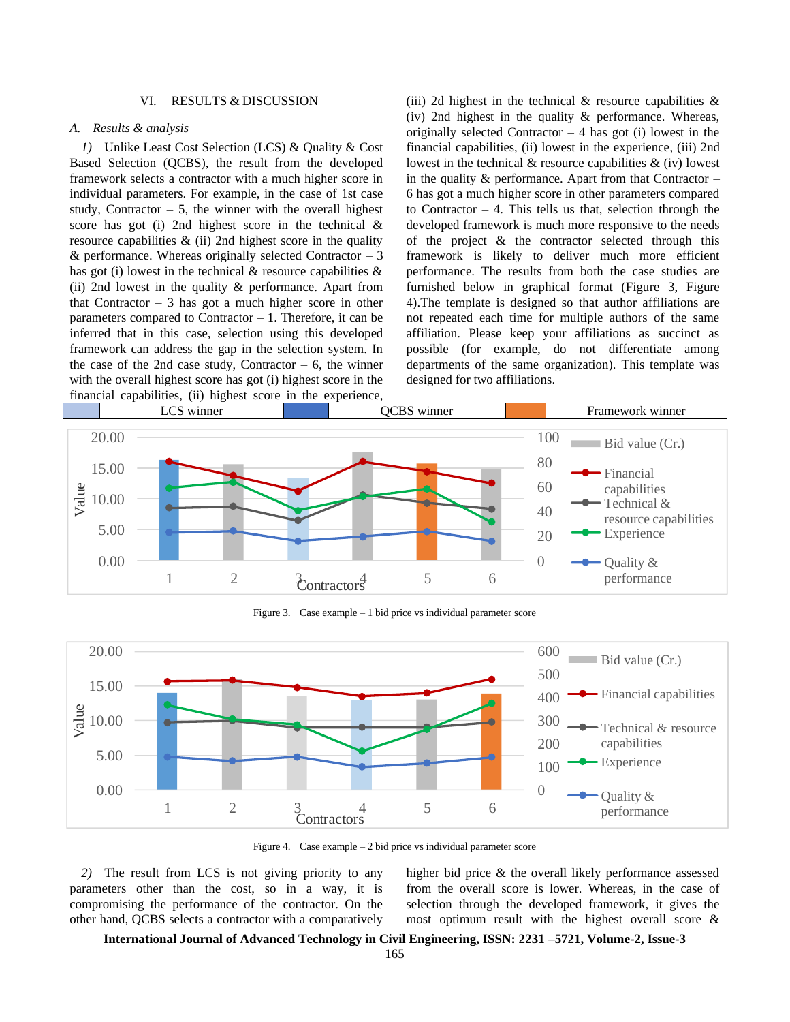#### VI. RESULTS & DISCUSSION

#### *A. Results & analysis*

*1)* Unlike Least Cost Selection (LCS) & Quality & Cost Based Selection (QCBS), the result from the developed framework selects a contractor with a much higher score in individual parameters. For example, in the case of 1st case study, Contractor  $-5$ , the winner with the overall highest score has got (i) 2nd highest score in the technical & resource capabilities  $\&$  (ii) 2nd highest score in the quality & performance. Whereas originally selected Contractor  $-3$ has got (i) lowest in the technical  $\&$  resource capabilities  $\&$ (ii) 2nd lowest in the quality & performance. Apart from that Contractor  $-3$  has got a much higher score in other parameters compared to Contractor  $-1$ . Therefore, it can be inferred that in this case, selection using this developed framework can address the gap in the selection system. In the case of the 2nd case study, Contractor  $-6$ , the winner with the overall highest score has got (i) highest score in the financial capabilities, (ii) highest score in the experience,

(iii) 2d highest in the technical  $\&$  resource capabilities  $\&$ (iv) 2nd highest in the quality & performance. Whereas, originally selected Contractor  $-4$  has got (i) lowest in the financial capabilities, (ii) lowest in the experience, (iii) 2nd lowest in the technical  $\&$  resource capabilities  $\&$  (iv) lowest in the quality  $\&$  performance. Apart from that Contractor – 6 has got a much higher score in other parameters compared to Contractor  $-4$ . This tells us that, selection through the developed framework is much more responsive to the needs of the project & the contractor selected through this framework is likely to deliver much more efficient performance. The results from both the case studies are furnished below in graphical format (Figure 3, Figure 4).The template is designed so that author affiliations are not repeated each time for multiple authors of the same affiliation. Please keep your affiliations as succinct as possible (for example, do not differentiate among departments of the same organization). This template was designed for two affiliations.



Figure 3. Case example – 1 bid price vs individual parameter score



Figure 4. Case example – 2 bid price vs individual parameter score

*2)* The result from LCS is not giving priority to any parameters other than the cost, so in a way, it is compromising the performance of the contractor. On the other hand, QCBS selects a contractor with a comparatively

higher bid price & the overall likely performance assessed from the overall score is lower. Whereas, in the case of selection through the developed framework, it gives the most optimum result with the highest overall score &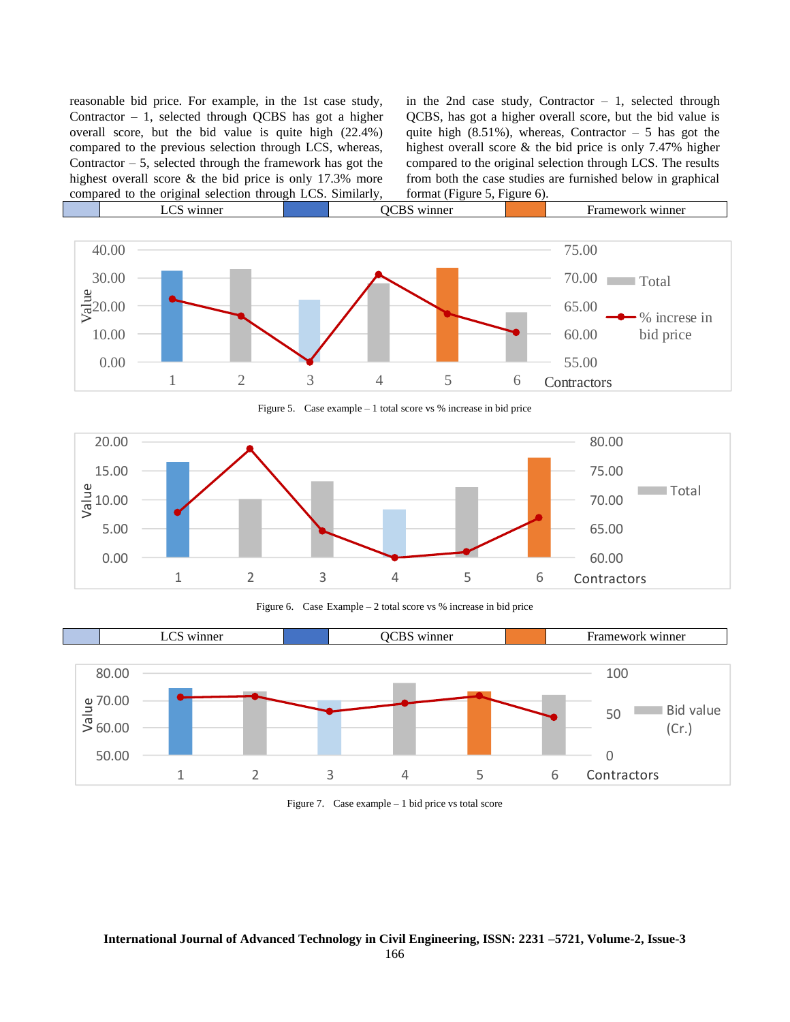reasonable bid price. For example, in the 1st case study, Contractor  $-1$ , selected through QCBS has got a higher overall score, but the bid value is quite high (22.4%) compared to the previous selection through LCS, whereas, Contractor  $-5$ , selected through the framework has got the highest overall score & the bid price is only 17.3% more compared to the original selection through LCS. Similarly,

in the 2nd case study, Contractor  $-1$ , selected through QCBS, has got a higher overall score, but the bid value is quite high  $(8.51\%)$ , whereas, Contractor – 5 has got the highest overall score & the bid price is only 7.47% higher compared to the original selection through LCS. The results from both the case studies are furnished below in graphical format (Figure 5, Figure 6).



Figure 5. Case example – 1 total score vs % increase in bid price



Figure 6. Case Example – 2 total score vs % increase in bid price



Figure 7. Case example – 1 bid price vs total score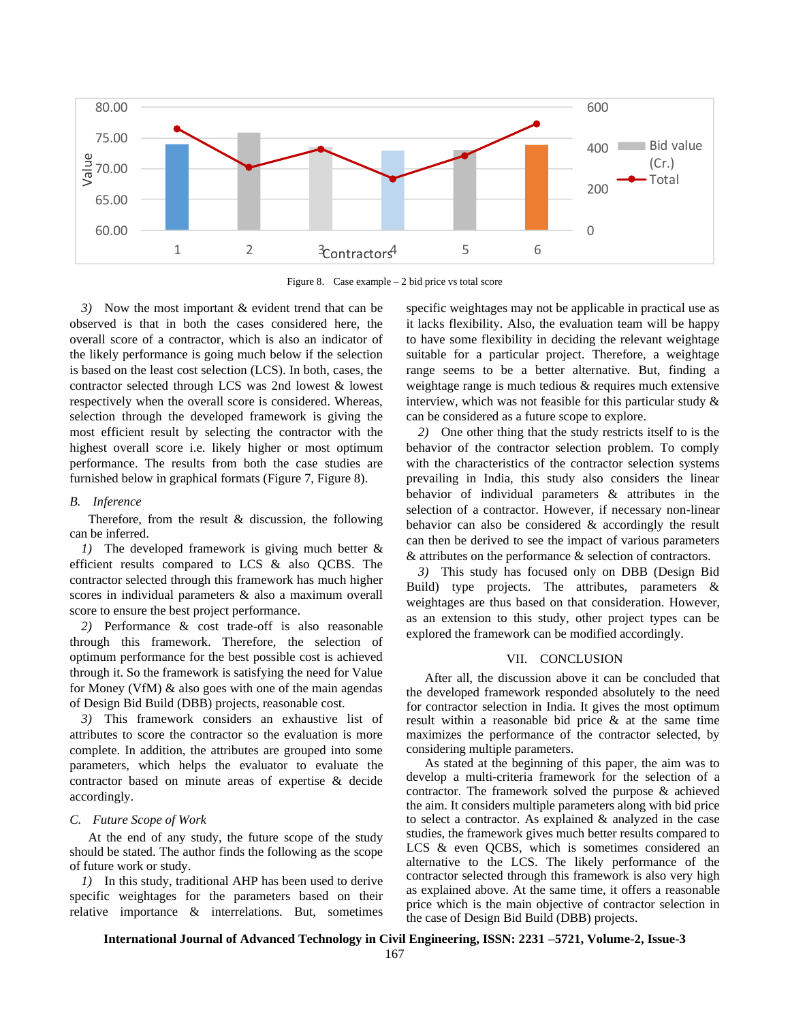

Figure 8. Case example – 2 bid price vs total score

*3)* Now the most important & evident trend that can be observed is that in both the cases considered here, the overall score of a contractor, which is also an indicator of the likely performance is going much below if the selection is based on the least cost selection (LCS). In both, cases, the contractor selected through LCS was 2nd lowest & lowest respectively when the overall score is considered. Whereas, selection through the developed framework is giving the most efficient result by selecting the contractor with the highest overall score i.e. likely higher or most optimum performance. The results from both the case studies are furnished below in graphical formats (Figure 7, Figure 8).

#### *B. Inference*

Therefore, from the result  $\&$  discussion, the following can be inferred.

*1)* The developed framework is giving much better & efficient results compared to LCS & also QCBS. The contractor selected through this framework has much higher scores in individual parameters & also a maximum overall score to ensure the best project performance.

*2)* Performance & cost trade-off is also reasonable through this framework. Therefore, the selection of optimum performance for the best possible cost is achieved through it. So the framework is satisfying the need for Value for Money (VfM) & also goes with one of the main agendas of Design Bid Build (DBB) projects, reasonable cost.

*3)* This framework considers an exhaustive list of attributes to score the contractor so the evaluation is more complete. In addition, the attributes are grouped into some parameters, which helps the evaluator to evaluate the contractor based on minute areas of expertise & decide accordingly.

#### *C. Future Scope of Work*

At the end of any study, the future scope of the study should be stated. The author finds the following as the scope of future work or study.

*1)* In this study, traditional AHP has been used to derive specific weightages for the parameters based on their relative importance & interrelations. But, sometimes specific weightages may not be applicable in practical use as it lacks flexibility. Also, the evaluation team will be happy to have some flexibility in deciding the relevant weightage suitable for a particular project. Therefore, a weightage range seems to be a better alternative. But, finding a weightage range is much tedious & requires much extensive interview, which was not feasible for this particular study & can be considered as a future scope to explore.

*2)* One other thing that the study restricts itself to is the behavior of the contractor selection problem. To comply with the characteristics of the contractor selection systems prevailing in India, this study also considers the linear behavior of individual parameters & attributes in the selection of a contractor. However, if necessary non-linear behavior can also be considered & accordingly the result can then be derived to see the impact of various parameters & attributes on the performance & selection of contractors.

*3)* This study has focused only on DBB (Design Bid Build) type projects. The attributes, parameters & weightages are thus based on that consideration. However, as an extension to this study, other project types can be explored the framework can be modified accordingly.

#### VII. CONCLUSION

After all, the discussion above it can be concluded that the developed framework responded absolutely to the need for contractor selection in India. It gives the most optimum result within a reasonable bid price & at the same time maximizes the performance of the contractor selected, by considering multiple parameters.

As stated at the beginning of this paper, the aim was to develop a multi-criteria framework for the selection of a contractor. The framework solved the purpose & achieved the aim. It considers multiple parameters along with bid price to select a contractor. As explained & analyzed in the case studies, the framework gives much better results compared to LCS & even OCBS, which is sometimes considered an alternative to the LCS. The likely performance of the contractor selected through this framework is also very high as explained above. At the same time, it offers a reasonable price which is the main objective of contractor selection in the case of Design Bid Build (DBB) projects.